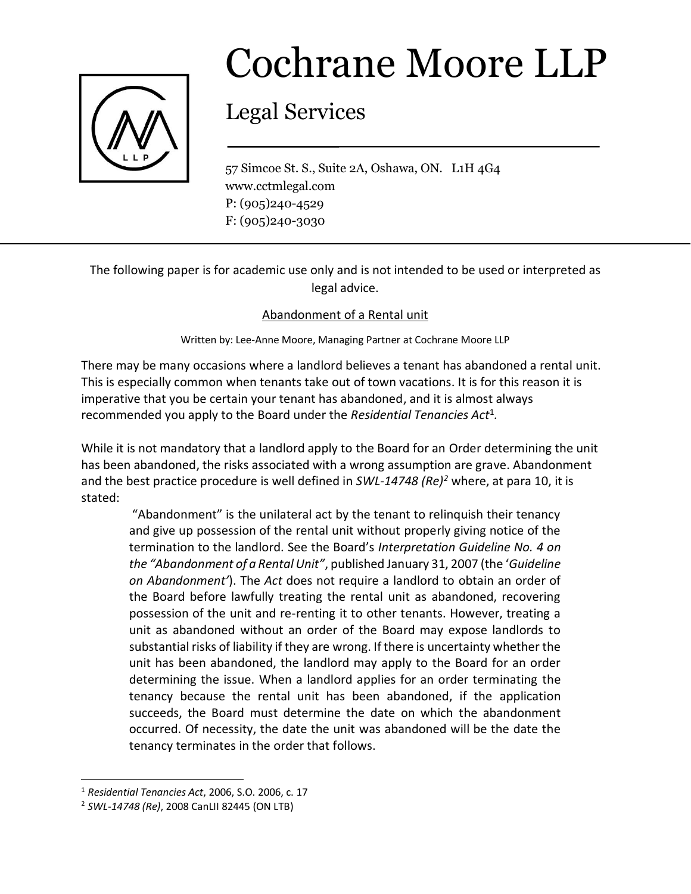

## Cochrane Moore LLP

## Legal Services

57 Simcoe St. S., Suite 2A, Oshawa, ON. L1H 4G4 www.cctmlegal.com P: (905)240-4529 F: (905)240-3030

The following paper is for academic use only and is not intended to be used or interpreted as legal advice.

## Abandonment of a Rental unit

Written by: Lee-Anne Moore, Managing Partner at Cochrane Moore LLP

There may be many occasions where a landlord believes a tenant has abandoned a rental unit. This is especially common when tenants take out of town vacations. It is for this reason it is imperative that you be certain your tenant has abandoned, and it is almost always recommended you apply to the Board under the *Residential Tenancies Act<sup>1</sup>.* 

While it is not mandatory that a landlord apply to the Board for an Order determining the unit has been abandoned, the risks associated with a wrong assumption are grave. Abandonment and the best practice procedure is well defined in *SWL-14748 (Re)<sup>2</sup>* where, at para 10, it is stated:

"Abandonment" is the unilateral act by the tenant to relinquish their tenancy and give up possession of the rental unit without properly giving notice of the termination to the landlord. See the Board's *Interpretation Guideline No. 4 on the "Abandonment of a Rental Unit"*, published January 31, 2007 (the '*Guideline on Abandonment'*). The *Act* does not require a landlord to obtain an order of the Board before lawfully treating the rental unit as abandoned, recovering possession of the unit and re-renting it to other tenants. However, treating a unit as abandoned without an order of the Board may expose landlords to substantial risks of liability if they are wrong. If there is uncertainty whether the unit has been abandoned, the landlord may apply to the Board for an order determining the issue. When a landlord applies for an order terminating the tenancy because the rental unit has been abandoned, if the application succeeds, the Board must determine the date on which the abandonment occurred. Of necessity, the date the unit was abandoned will be the date the tenancy terminates in the order that follows.

 $\overline{\phantom{a}}$ 

<sup>1</sup> *Residential Tenancies Act*, 2006, S.O. 2006, c. 17

<sup>2</sup> *SWL-14748 (Re)*, 2008 CanLII 82445 (ON LTB)